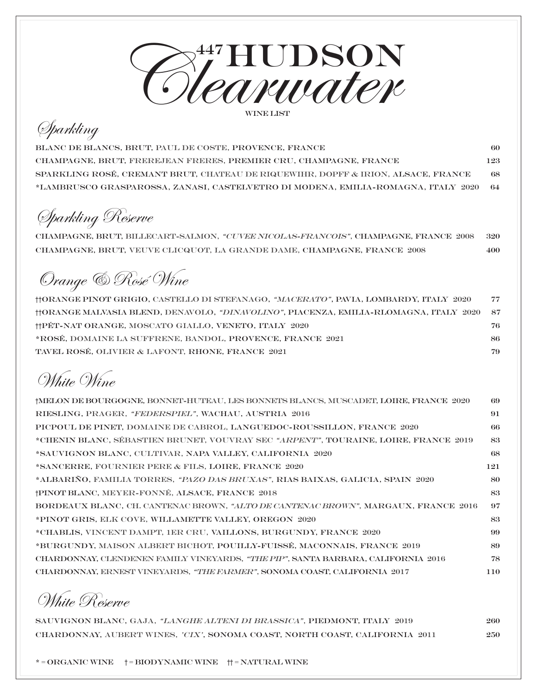

## Sparkling

Blanc de Blancs, Brut, Paul de Coste, Provence, France 60 Champagne, Brut, Frerejean Freres, Premier Cru, Champagne, France 123 Sparkling Rosé, Cremant Brut, Chateau De Riquewihr, Dopff & Irion, Alsace, France 68 \*Lambrusco Grasparossa, Zanasi, Castelvetro di Modena, Emilia-Romagna, Italy 2020 64

Sparkling Reserve

Champagne, brut, Billecart-Salmon, "Cuvee Nicolas-Francois", Champagne, France 2008 320 Champagne, brut, Veuve Clicquot, La Grande Dame, Champagne, France 2008 400

Orange & Rosé Wine

| HORANGE PINOT GRIGIO, CASTELLO DI STEFANAGO, "MACERATO", PAVIA, LOMBARDY, ITALY 2020           | 77   |
|------------------------------------------------------------------------------------------------|------|
| ††ORANGE MALVASIA BLEND, DENAVOLO, <i>*DINAVOLINO"</i> , PIACENZA, EMILIA-RLOMAGNA, ITALY 2020 | - 87 |
| <b>THET-NAT ORANGE, MOSCATO GIALLO, VENETO, ITALY 2020</b>                                     | 76-  |
| *ROSÉ, DOMAINE LA SUFFRENE, BANDOL, PROVENCE, FRANCE 2021                                      | 86.  |
| TAVEL ROSÉ, OLIVIER & LAFONT, RHONE, FRANCE 2021                                               | 79.  |

White Wine

| †MELON DE BOURGOGNE, BONNET-HUTEAU, LES BONNETS BLANCS, MUSCADET, LOIRE, FRANCE 2020   | -69 |
|----------------------------------------------------------------------------------------|-----|
| RIESLING, PRAGER, "FEDERSPIEL", WACHAU, AUSTRIA 2016                                   | 91  |
| PICPOUL DE PINET, DOMAINE DE CABROL, LANGUEDOC-ROUSSILLON, FRANCE 2020                 | -66 |
| *CHENIN BLANC, SÉBASTIEN BRUNET, VOUVRAY SEC "ARPENT", TOURAINE, LOIRE, FRANCE 2019    | 83  |
| *SAUVIGNON BLANC, CULTIVAR, NAPA VALLEY, CALIFORNIA 2020                               | 68  |
| *SANCERRE, FOURNIER PERE & FILS, LOIRE, FRANCE 2020                                    | 121 |
| *ALBARIÑO, FAMILIA TORRES, <i>"PAZO DAS BRUXAS"</i> , RIAS BAIXAS, GALICIA, SPAIN 2020 | 80  |
| †PINOT BLANC, MEYER-FONNÉ, ALSACE, FRANCE 2018                                         | 83  |
| BORDEAUX BLANC, CH. CANTENAC BROWN, "ALTO DE CANTENAC BROWN", MARGAUX, FRANCE 2016     | 97  |
| *PINOT GRIS, ELK COVE, WILLAMETTE VALLEY, OREGON 2020                                  | 83  |
| *CHABLIS, VINCENT DAMPT, 1ER CRU, VAILLONS, BURGUNDY, FRANCE 2020                      | 99  |
| *BURGUNDY, MAISON ALBERT BICHOT, POUILLY-FUISSÉ, MACONNAIS, FRANCE 2019                | 89  |
| CHARDONNAY, CLENDENEN FAMILY VINEYARDS, "THE PIP", SANTA BARBARA, CALIFORNIA 2016      | 78  |
| CHARDONNAY, ERNEST VINEYARDS, "THE FARMER", SONOMA COAST, CALIFORNIA 2017              | 110 |
|                                                                                        |     |

White Reserve

Sauvignon Blanc, Gaja, "Langhe Alteni di Brassica", Piedmont, Italy 2019 260 Chardonnay, Aubert Wines, 'cix', Sonoma Coast, North Coast, CAlifornia 2011 250

\* = Organic Wine † = Biodynamic Wine †† = Natural Wine